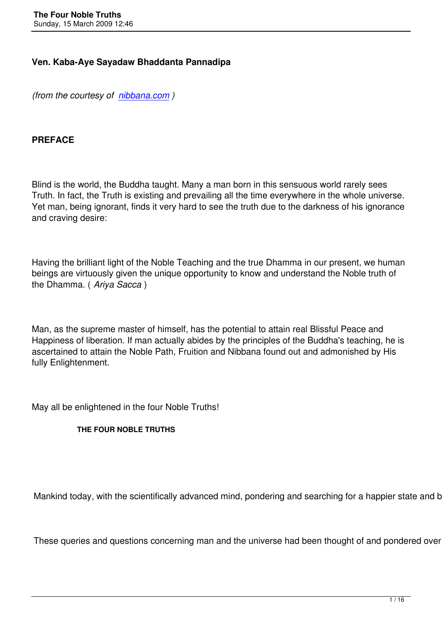### **Ven. Kaba-Aye Sayadaw Bhaddanta Pannadipa**

*(from the courtesy of nibbana.com )*

### **PREFACE**

Blind is the world, the Buddha taught. Many a man born in this sensuous world rarely sees Truth. In fact, the Truth is existing and prevailing all the time everywhere in the whole universe. Yet man, being ignorant, finds it very hard to see the truth due to the darkness of his ignorance and craving desire:

Having the brilliant light of the Noble Teaching and the true Dhamma in our present, we human beings are virtuously given the unique opportunity to know and understand the Noble truth of the Dhamma. ( *Ariya Sacca* )

Man, as the supreme master of himself, has the potential to attain real Blissful Peace and Happiness of liberation. If man actually abides by the principles of the Buddha's teaching, he is ascertained to attain the Noble Path, Fruition and Nibbana found out and admonished by His fully Enlightenment.

May all be enlightened in the four Noble Truths!

#### **THE FOUR NOBLE TRUTHS**

Mankind today, with the scientifically advanced mind, pondering and searching for a happier state and bette

These queries and questions concerning man and the universe had been thought of and pondered over a let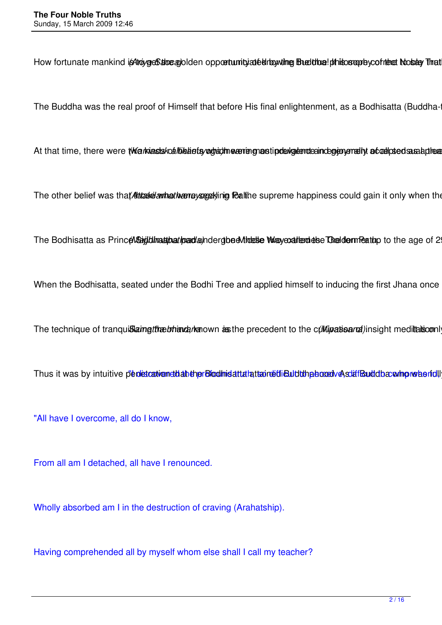How fortunate mankind is thouge State and Iden opportunity at elithowing Englithe! phisosophy cofriest Nostly That

The Buddha was the real proof of Himself that before His final enlightenment, as a Bodhisatta (Buddha-

At that time, there were twa wastskoallikeliefsvorhad meaning mastip devaluated indegrated to added sasabules

The other belief was that Attasket antheotive researching Pealthe supreme happiness could gain it only when the

The Bodhisatta as Prince Magid limation at incarchage indergibe divides to the metal of the age of 2

When the Bodhisatta, seated under the Bodhi Tree and applied himself to inducing the first Jhana once

The technique of tranquislaingtheebhand phanown as the precedent to the cultipationarial insight meditation

Thus it was by intuitive penetration dahen Bloomsatta lattain bili Buldtung bood ve solaff Bulddba win on when full

"All have I overcome, all do I know,

From all am I detached, all have I renounced.

Wholly absorbed am I in the destruction of craving (Arahatship).

Having comprehended all by myself whom else shall I call my teacher?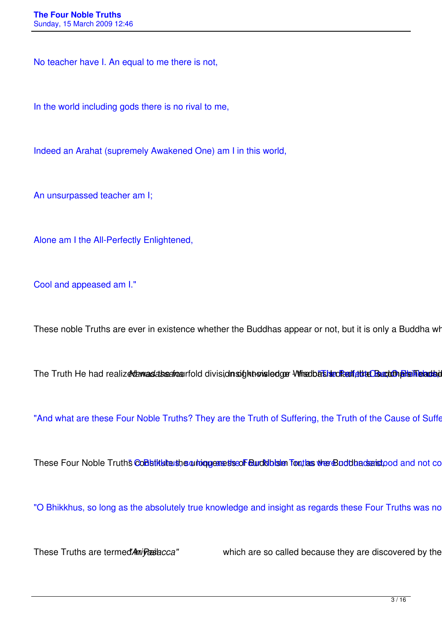No teacher have I. An equal to me there is not,

In the world including gods there is no rival to me,

Indeed an Arahat (supremely Awakened One) am I in this world,

An unsurpassed teacher am I;

Alone am I the All-Perfectly Enlightened,

Cool and appeased am I."

These noble Truths are ever in existence whether the Buddhas appear or not, but it is only a Buddha who reveals the

The Truth He had realizedamasdabsericeurfold divisidnsoighthousledger Wheedbashten Realitet Buchth Bishlein Bade

"And what are these Four Noble Truths? They are the Truth of Suffering, the Truth of the Cause of Suffering, and the Truth of the Cause of Suffering."

These Four Noble Truth's Constitute she or highers and purchast fout as the Buddhadenshood and not co

"O Bhikkhus, so long as the absolutely true knowledge and insight as regards these Four Truths was no

These Truths are termed *Ani Pasiacca"* which are so called because they are discovered by the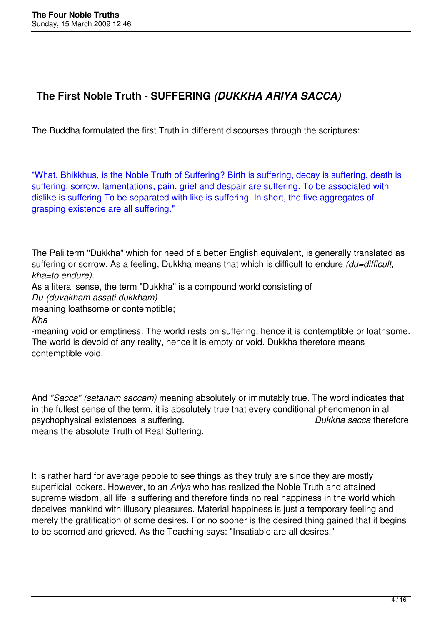# **The First Noble Truth - SUFFERING** *(DUKKHA ARIYA SACCA)*

The Buddha formulated the first Truth in different discourses through the scriptures:

"What, Bhikkhus, is the Noble Truth of Suffering? Birth is suffering, decay is suffering, death is suffering, sorrow, lamentations, pain, grief and despair are suffering. To be associated with dislike is suffering To be separated with like is suffering. In short, the five aggregates of grasping existence are all suffering."

The Pali term "Dukkha" which for need of a better English equivalent, is generally translated as suffering or sorrow. As a feeling, Dukkha means that which is difficult to endure *(du=difficult, kha=to endure).* 

As a literal sense, the term "Dukkha" is a compound world consisting of *Du-(duvakham assati dukkham)* 

meaning loathsome or contemptible;

*Kha* 

-meaning void or emptiness. The world rests on suffering, hence it is contemptible or loathsome. The world is devoid of any reality, hence it is empty or void. Dukkha therefore means contemptible void.

And *"Sacca" (satanam saccam)* meaning absolutely or immutably true. The word indicates that in the fullest sense of the term, it is absolutely true that every conditional phenomenon in all psychophysical existences is suffering. *Dukkha sacca* therefore

means the absolute Truth of Real Suffering.

It is rather hard for average people to see things as they truly are since they are mostly superficial lookers. However, to an *Ariya* who has realized the Noble Truth and attained supreme wisdom, all life is suffering and therefore finds no real happiness in the world which deceives mankind with illusory pleasures. Material happiness is just a temporary feeling and merely the gratification of some desires. For no sooner is the desired thing gained that it begins to be scorned and grieved. As the Teaching says: "Insatiable are all desires."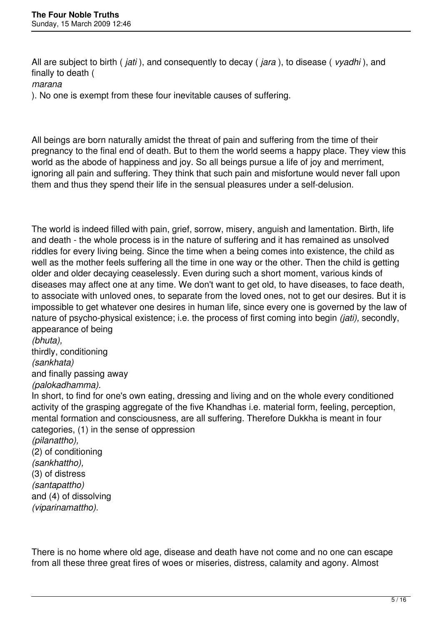All are subject to birth ( *jati* ), and consequently to decay ( *jara* ), to disease ( *vyadhi* ), and finally to death ( *marana*  ). No one is exempt from these four inevitable causes of suffering.

All beings are born naturally amidst the threat of pain and suffering from the time of their pregnancy to the final end of death. But to them the world seems a happy place. They view this world as the abode of happiness and joy. So all beings pursue a life of joy and merriment, ignoring all pain and suffering. They think that such pain and misfortune would never fall upon them and thus they spend their life in the sensual pleasures under a self-delusion.

The world is indeed filled with pain, grief, sorrow, misery, anguish and lamentation. Birth, life and death - the whole process is in the nature of suffering and it has remained as unsolved riddles for every living being. Since the time when a being comes into existence, the child as well as the mother feels suffering all the time in one way or the other. Then the child is getting older and older decaying ceaselessly. Even during such a short moment, various kinds of diseases may affect one at any time. We don't want to get old, to have diseases, to face death, to associate with unloved ones, to separate from the loved ones, not to get our desires. But it is impossible to get whatever one desires in human life, since every one is governed by the law of nature of psycho-physical existence; i.e. the process of first coming into begin *(jati),* secondly, appearance of being

*(bhuta),*  thirdly, conditioning *(sankhata)*  and finally passing away *(palokadhamma).* 

In short, to find for one's own eating, dressing and living and on the whole every conditioned activity of the grasping aggregate of the five Khandhas i.e. material form, feeling, perception, mental formation and consciousness, are all suffering. Therefore Dukkha is meant in four categories, (1) in the sense of oppression *(pilanattho),*  (2) of conditioning

*(sankhattho),*  (3) of distress *(santapattho)*  and (4) of dissolving *(viparinamattho).* 

There is no home where old age, disease and death have not come and no one can escape from all these three great fires of woes or miseries, distress, calamity and agony. Almost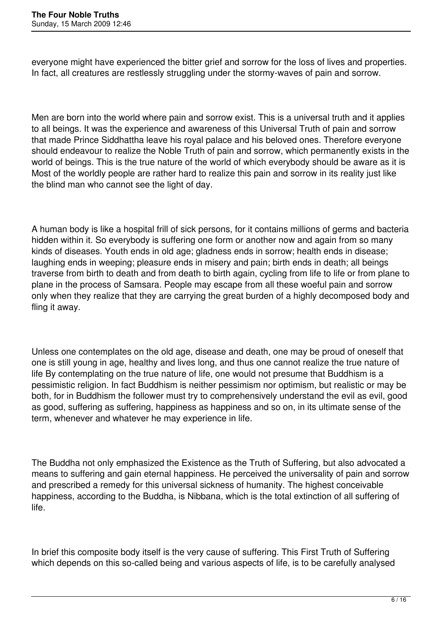everyone might have experienced the bitter grief and sorrow for the loss of lives and properties. In fact, all creatures are restlessly struggling under the stormy-waves of pain and sorrow.

Men are born into the world where pain and sorrow exist. This is a universal truth and it applies to all beings. It was the experience and awareness of this Universal Truth of pain and sorrow that made Prince Siddhattha leave his royal palace and his beloved ones. Therefore everyone should endeavour to realize the Noble Truth of pain and sorrow, which permanently exists in the world of beings. This is the true nature of the world of which everybody should be aware as it is Most of the worldly people are rather hard to realize this pain and sorrow in its reality just like the blind man who cannot see the light of day.

A human body is like a hospital frill of sick persons, for it contains millions of germs and bacteria hidden within it. So everybody is suffering one form or another now and again from so many kinds of diseases. Youth ends in old age; gladness ends in sorrow; health ends in disease; laughing ends in weeping; pleasure ends in misery and pain; birth ends in death; all beings traverse from birth to death and from death to birth again, cycling from life to life or from plane to plane in the process of Samsara. People may escape from all these woeful pain and sorrow only when they realize that they are carrying the great burden of a highly decomposed body and fling it away.

Unless one contemplates on the old age, disease and death, one may be proud of oneself that one is still young in age, healthy and lives long, and thus one cannot realize the true nature of life By contemplating on the true nature of life, one would not presume that Buddhism is a pessimistic religion. In fact Buddhism is neither pessimism nor optimism, but realistic or may be both, for in Buddhism the follower must try to comprehensively understand the evil as evil, good as good, suffering as suffering, happiness as happiness and so on, in its ultimate sense of the term, whenever and whatever he may experience in life.

The Buddha not only emphasized the Existence as the Truth of Suffering, but also advocated a means to suffering and gain eternal happiness. He perceived the universality of pain and sorrow and prescribed a remedy for this universal sickness of humanity. The highest conceivable happiness, according to the Buddha, is Nibbana, which is the total extinction of all suffering of life.

In brief this composite body itself is the very cause of suffering. This First Truth of Suffering which depends on this so-called being and various aspects of life, is to be carefully analysed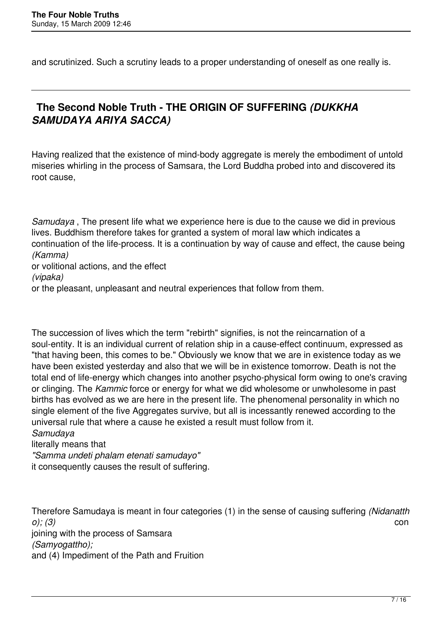and scrutinized. Such a scrutiny leads to a proper understanding of oneself as one really is.

# **The Second Noble Truth - THE ORIGIN OF SUFFERING** *(DUKKHA SAMUDAYA ARIYA SACCA)*

Having realized that the existence of mind-body aggregate is merely the embodiment of untold miseries whirling in the process of Samsara, the Lord Buddha probed into and discovered its root cause,

*Samudaya* , The present life what we experience here is due to the cause we did in previous lives. Buddhism therefore takes for granted a system of moral law which indicates a continuation of the life-process. It is a continuation by way of cause and effect, the cause being *(Kamma)*  or volitional actions, and the effect *(vipaka)* 

or the pleasant, unpleasant and neutral experiences that follow from them.

The succession of lives which the term "rebirth" signifies, is not the reincarnation of a soul-entity. It is an individual current of relation ship in a cause-effect continuum, expressed as "that having been, this comes to be." Obviously we know that we are in existence today as we have been existed yesterday and also that we will be in existence tomorrow. Death is not the total end of life-energy which changes into another psycho-physical form owing to one's craving or clinging. The *Kammic* force or energy for what we did wholesome or unwholesome in past births has evolved as we are here in the present life. The phenomenal personality in which no single element of the five Aggregates survive, but all is incessantly renewed according to the universal rule that where a cause he existed a result must follow from it.

*Samudaya* 

literally means that *"Samma undeti phalam etenati samudayo"* 

it consequently causes the result of suffering.

Therefore Samudaya is meant in four categories (1) in the sense of causing suffering *(Nidanatth o); (3)* con joining with the process of Samsara *(Samyogattho);*  and (4) Impediment of the Path and Fruition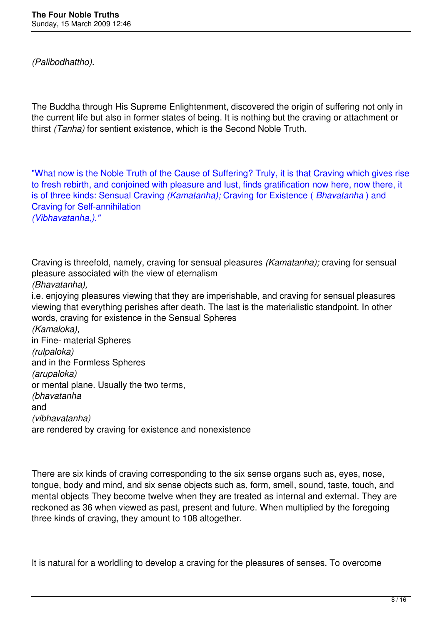*(Palibodhattho).* 

The Buddha through His Supreme Enlightenment, discovered the origin of suffering not only in the current life but also in former states of being. It is nothing but the craving or attachment or thirst *(Tanha)* for sentient existence, which is the Second Noble Truth.

"What now is the Noble Truth of the Cause of Suffering? Truly, it is that Craving which gives rise to fresh rebirth, and conjoined with pleasure and lust, finds gratification now here, now there, it is of three kinds: Sensual Craving *(Kamatanha);* Craving for Existence ( *Bhavatanha* ) and Craving for Self-annihilation *(Vibhavatanha,)."*

Craving is threefold, namely, craving for sensual pleasures *(Kamatanha);* craving for sensual pleasure associated with the view of eternalism *(Bhavatanha),*  i.e. enjoying pleasures viewing that they are imperishable, and craving for sensual pleasures viewing that everything perishes after death. The last is the materialistic standpoint. In other words, craving for existence in the Sensual Spheres *(Kamaloka),*  in Fine- material Spheres *(rulpaloka)*  and in the Formless Spheres *(arupaloka)*  or mental plane. Usually the two terms, *(bhavatanha*  and *(vibhavatanha)*  are rendered by craving for existence and nonexistence

There are six kinds of craving corresponding to the six sense organs such as, eyes, nose, tongue, body and mind, and six sense objects such as, form, smell, sound, taste, touch, and mental objects They become twelve when they are treated as internal and external. They are reckoned as 36 when viewed as past, present and future. When multiplied by the foregoing three kinds of craving, they amount to 108 altogether.

It is natural for a worldling to develop a craving for the pleasures of senses. To overcome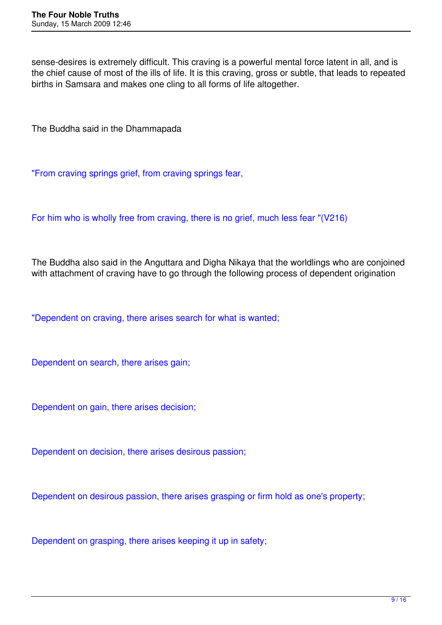sense-desires is extremely difficult. This craving is a powerful mental force latent in all, and is the chief cause of most of the ills of life. It is this craving, gross or subtle, that leads to repeated births in Samsara and makes one cling to all forms of life altogether.

The Buddha said in the Dhammapada

"From craving springs grief, from craving springs fear,

For him who is wholly free from craving, there is no grief, much less fear "(V216)

The Buddha also said in the Anguttara and Digha Nikaya that the worldlings who are conjoined with attachment of craving have to go through the following process of dependent origination

"Dependent on craving, there arises search for what is wanted;

Dependent on search, there arises gain;

Dependent on gain, there arises decision;

Dependent on decision, there arises desirous passion;

Dependent on desirous passion, there arises grasping or firm hold as one's property;

Dependent on grasping, there arises keeping it up in safety;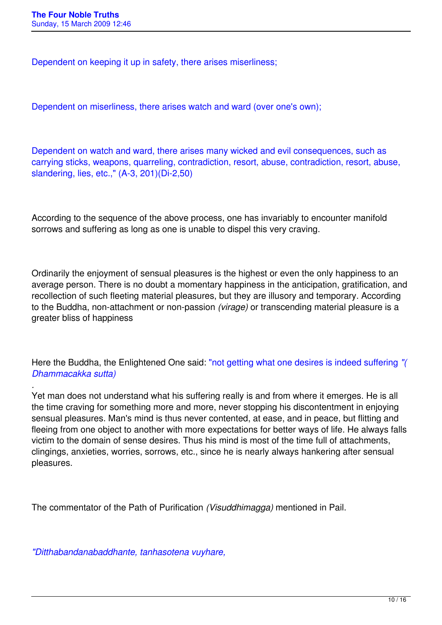*.* 

Dependent on keeping it up in safety, there arises miserliness;

Dependent on miserliness, there arises watch and ward (over one's own);

Dependent on watch and ward, there arises many wicked and evil consequences, such as carrying sticks, weapons, quarreling, contradiction, resort, abuse, contradiction, resort, abuse, slandering, lies, etc.," (A-3, 201)(Di-2,50)

According to the sequence of the above process, one has invariably to encounter manifold sorrows and suffering as long as one is unable to dispel this very craving.

Ordinarily the enjoyment of sensual pleasures is the highest or even the only happiness to an average person. There is no doubt a momentary happiness in the anticipation, gratification, and recollection of such fleeting material pleasures, but they are illusory and temporary. According to the Buddha, non-attachment or non-passion *(virage)* or transcending material pleasure is a greater bliss of happiness

Here the Buddha, the Enlightened One said: "not getting what one desires is indeed suffering *"( Dhammacakka sutta)*

Yet man does not understand what his suffering really is and from where it emerges. He is all the time craving for something more and more, never stopping his discontentment in enjoying sensual pleasures. Man's mind is thus never contented, at ease, and in peace, but flitting and fleeing from one object to another with more expectations for better ways of life. He always falls victim to the domain of sense desires. Thus his mind is most of the time full of attachments, clingings, anxieties, worries, sorrows, etc., since he is nearly always hankering after sensual pleasures.

The commentator of the Path of Purification *(Visuddhimagga)* mentioned in Pail.

*"Ditthabandanabaddhante, tanhasotena vuyhare,*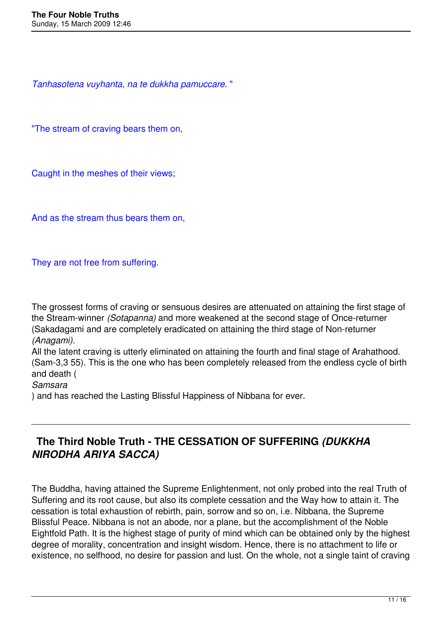*Tanhasotena vuyhanta, na te dukkha pamuccare.* "

"The stream of craving bears them on,

Caught in the meshes of their views;

And as the stream thus bears them on,

They are not free from suffering.

The grossest forms of craving or sensuous desires are attenuated on attaining the first stage of the Stream-winner *(Sotapanna)* and more weakened at the second stage of Once-returner (Sakadagami and are completely eradicated on attaining the third stage of Non-returner *(Anagami).* 

All the latent craving is utterly eliminated on attaining the fourth and final stage of Arahathood. (Sam-3,3 55). This is the one who has been completely released from the endless cycle of birth and death (

*Samsara* 

) and has reached the Lasting Blissful Happiness of Nibbana for ever.

## **The Third Noble Truth - THE CESSATION OF SUFFERING** *(DUKKHA NIRODHA ARIYA SACCA)*

The Buddha, having attained the Supreme Enlightenment, not only probed into the real Truth of Suffering and its root cause, but also its complete cessation and the Way how to attain it. The cessation is total exhaustion of rebirth, pain, sorrow and so on, i.e. Nibbana, the Supreme Blissful Peace. Nibbana is not an abode, nor a plane, but the accomplishment of the Noble Eightfold Path. It is the highest stage of purity of mind which can be obtained only by the highest degree of morality, concentration and insight wisdom. Hence, there is no attachment to life or existence, no selfhood, no desire for passion and lust. On the whole, not a single taint of craving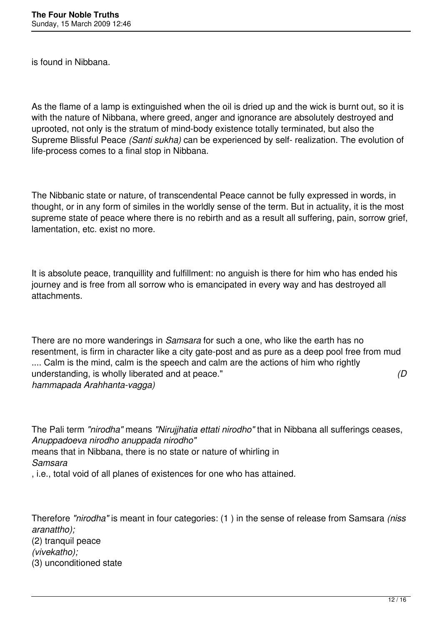is found in Nibbana.

As the flame of a lamp is extinguished when the oil is dried up and the wick is burnt out, so it is with the nature of Nibbana, where greed, anger and ignorance are absolutely destroyed and uprooted, not only is the stratum of mind-body existence totally terminated, but also the Supreme Blissful Peace *(Santi sukha)* can be experienced by self- realization. The evolution of life-process comes to a final stop in Nibbana.

The Nibbanic state or nature, of transcendental Peace cannot be fully expressed in words, in thought, or in any form of similes in the worldly sense of the term. But in actuality, it is the most supreme state of peace where there is no rebirth and as a result all suffering, pain, sorrow grief, lamentation, etc. exist no more.

It is absolute peace, tranquillity and fulfillment: no anguish is there for him who has ended his journey and is free from all sorrow who is emancipated in every way and has destroyed all attachments.

There are no more wanderings in *Samsara* for such a one, who like the earth has no resentment, is firm in character like a city gate-post and as pure as a deep pool free from mud .... Calm is the mind, calm is the speech and calm are the actions of him who rightly understanding, is wholly liberated and at peace." *(D hammapada Arahhanta-vagga)* 

The Pali term *"nirodha"* means *"Nirujjhatia ettati nirodho"* that in Nibbana all sufferings ceases, *Anuppadoeva nirodho anuppada nirodho"*  means that in Nibbana, there is no state or nature of whirling in *Samsara*  , i.e., total void of all planes of existences for one who has attained.

Therefore *"nirodha"* is meant in four categories: (1 ) in the sense of release from Samsara *(niss aranattho);*  (2) tranquil peace *(vivekatho);*  (3) unconditioned state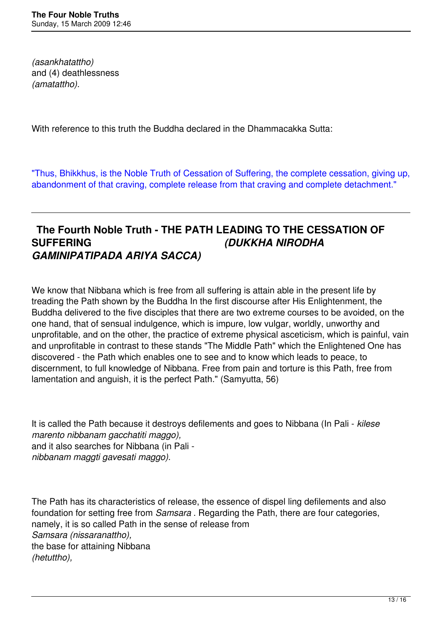*(asankhatattho)*  and (4) deathlessness *(amatattho).* 

With reference to this truth the Buddha declared in the Dhammacakka Sutta:

"Thus, Bhikkhus, is the Noble Truth of Cessation of Suffering, the complete cessation, giving up, abandonment of that craving, complete release from that craving and complete detachment."

### **The Fourth Noble Truth - THE PATH LEADING TO THE CESSATION OF SUFFERING** *(DUKKHA NIRODHA GAMINIPATIPADA ARIYA SACCA)*

We know that Nibbana which is free from all suffering is attain able in the present life by treading the Path shown by the Buddha In the first discourse after His Enlightenment, the Buddha delivered to the five disciples that there are two extreme courses to be avoided, on the one hand, that of sensual indulgence, which is impure, low vulgar, worldly, unworthy and unprofitable, and on the other, the practice of extreme physical asceticism, which is painful, vain and unprofitable in contrast to these stands "The Middle Path" which the Enlightened One has discovered - the Path which enables one to see and to know which leads to peace, to discernment, to full knowledge of Nibbana. Free from pain and torture is this Path, free from lamentation and anguish, it is the perfect Path." (Samyutta, 56)

It is called the Path because it destroys defilements and goes to Nibbana (In Pali - *kilese marento nibbanam gacchatiti maggo),*  and it also searches for Nibbana (in Pali *nibbanam maggti gavesati maggo).* 

The Path has its characteristics of release, the essence of dispel ling defilements and also foundation for setting free from *Samsara* . Regarding the Path, there are four categories, namely, it is so called Path in the sense of release from *Samsara (nissaranattho),*  the base for attaining Nibbana *(hetuttho),*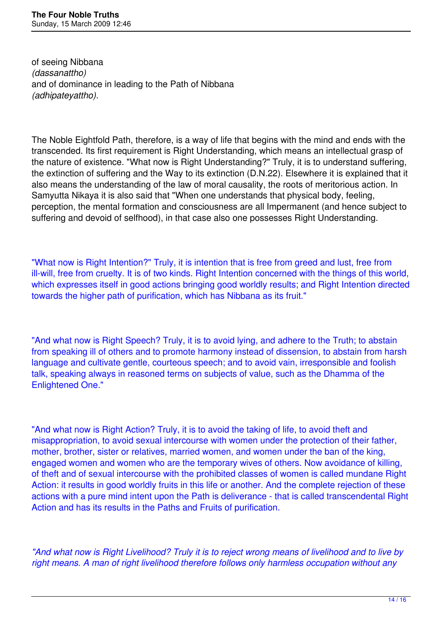of seeing Nibbana *(dassanattho)*  and of dominance in leading to the Path of Nibbana *(adhipateyattho).* 

The Noble Eightfold Path, therefore, is a way of life that begins with the mind and ends with the transcended. Its first requirement is Right Understanding, which means an intellectual grasp of the nature of existence. "What now is Right Understanding?" Truly, it is to understand suffering, the extinction of suffering and the Way to its extinction (D.N.22). Elsewhere it is explained that it also means the understanding of the law of moral causality, the roots of meritorious action. In Samyutta Nikaya it is also said that "When one understands that physical body, feeling, perception, the mental formation and consciousness are all Impermanent (and hence subject to suffering and devoid of selfhood), in that case also one possesses Right Understanding.

"What now is Right Intention?" Truly, it is intention that is free from greed and lust, free from ill-will, free from cruelty. It is of two kinds. Right Intention concerned with the things of this world, which expresses itself in good actions bringing good worldly results; and Right Intention directed towards the higher path of purification, which has Nibbana as its fruit."

"And what now is Right Speech? Truly, it is to avoid lying, and adhere to the Truth; to abstain from speaking ill of others and to promote harmony instead of dissension, to abstain from harsh language and cultivate gentle, courteous speech; and to avoid vain, irresponsible and foolish talk, speaking always in reasoned terms on subjects of value, such as the Dhamma of the Enlightened One."

"And what now is Right Action? Truly, it is to avoid the taking of life, to avoid theft and misappropriation, to avoid sexual intercourse with women under the protection of their father, mother, brother, sister or relatives, married women, and women under the ban of the king, engaged women and women who are the temporary wives of others. Now avoidance of killing, of theft and of sexual intercourse with the prohibited classes of women is called mundane Right Action: it results in good worldly fruits in this life or another. And the complete rejection of these actions with a pure mind intent upon the Path is deliverance - that is called transcendental Right Action and has its results in the Paths and Fruits of purification.

*"And what now is Right Livelihood? Truly it is to reject wrong means of livelihood and to live by right means. A man of right livelihood therefore follows only harmless occupation without any*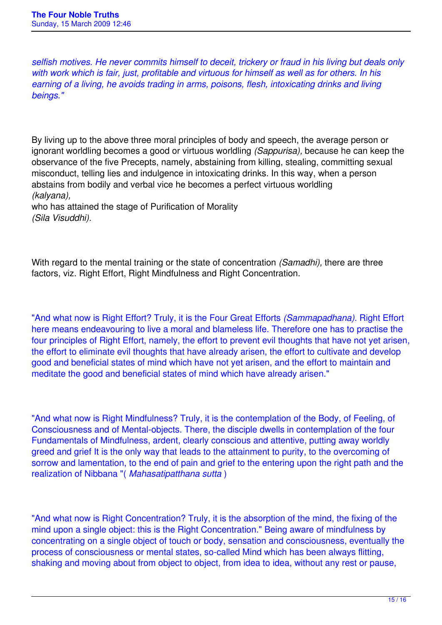*selfish motives. He never commits himself to deceit, trickery or fraud in his living but deals only with work which is fair, just, profitable and virtuous for himself as well as for others. In his earning of a living, he avoids trading in arms, poisons, flesh, intoxicating drinks and living beings."*

By living up to the above three moral principles of body and speech, the average person or ignorant worldling becomes a good or virtuous worldling *(Sappurisa),* because he can keep the observance of the five Precepts, namely, abstaining from killing, stealing, committing sexual misconduct, telling lies and indulgence in intoxicating drinks. In this way, when a person abstains from bodily and verbal vice he becomes a perfect virtuous worldling *(kalyana),* 

who has attained the stage of Purification of Morality *(Sila Visuddhi).* 

With regard to the mental training or the state of concentration *(Samadhi),* there are three factors, viz. Right Effort, Right Mindfulness and Right Concentration.

"And what now is Right Effort? Truly, it is the Four Great Efforts *(Sammapadhana).* Right Effort here means endeavouring to live a moral and blameless life. Therefore one has to practise the four principles of Right Effort, namely, the effort to prevent evil thoughts that have not yet arisen, the effort to eliminate evil thoughts that have already arisen, the effort to cultivate and develop good and beneficial states of mind which have not yet arisen, and the effort to maintain and meditate the good and beneficial states of mind which have already arisen."

"And what now is Right Mindfulness? Truly, it is the contemplation of the Body, of Feeling, of Consciousness and of Mental-objects. There, the disciple dwells in contemplation of the four Fundamentals of Mindfulness, ardent, clearly conscious and attentive, putting away worldly greed and grief It is the only way that leads to the attainment to purity, to the overcoming of sorrow and lamentation, to the end of pain and grief to the entering upon the right path and the realization of Nibbana "( *Mahasatipatthana sutta* )

"And what now is Right Concentration? Truly, it is the absorption of the mind, the fixing of the mind upon a single object: this is the Right Concentration." Being aware of mindfulness by concentrating on a single object of touch or body, sensation and consciousness, eventually the process of consciousness or mental states, so-called Mind which has been always flitting, shaking and moving about from object to object, from idea to idea, without any rest or pause,